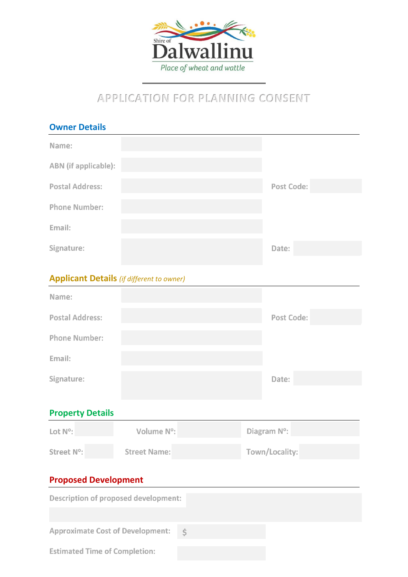

## **APPLICATION FOR PLANNING CONSENT**

| <b>Owner Details</b>                             |                     |  |                |             |  |
|--------------------------------------------------|---------------------|--|----------------|-------------|--|
| Name:                                            |                     |  |                |             |  |
| ABN (if applicable):                             |                     |  |                |             |  |
| <b>Postal Address:</b>                           |                     |  |                | Post Code:  |  |
| <b>Phone Number:</b>                             |                     |  |                |             |  |
| Email:                                           |                     |  |                |             |  |
| Signature:                                       |                     |  |                | Date:       |  |
| <b>Applicant Details</b> (if different to owner) |                     |  |                |             |  |
|                                                  |                     |  |                |             |  |
| Name:                                            |                     |  |                |             |  |
| <b>Postal Address:</b>                           |                     |  |                | Post Code:  |  |
| <b>Phone Number:</b>                             |                     |  |                |             |  |
| Email:                                           |                     |  |                |             |  |
| Signature:                                       |                     |  |                | Date:       |  |
|                                                  |                     |  |                |             |  |
| <b>Property Details</b>                          |                     |  |                |             |  |
| Lot N°:                                          | Volume N°:          |  |                | Diagram N°: |  |
| Street N°:                                       | <b>Street Name:</b> |  | Town/Locality: |             |  |
| <b>Proposed Development</b>                      |                     |  |                |             |  |
| Description of proposed development:             |                     |  |                |             |  |
| Approximate Cost of Development:  c              |                     |  |                |             |  |
|                                                  |                     |  |                |             |  |

**Estimated Time of Completion:**